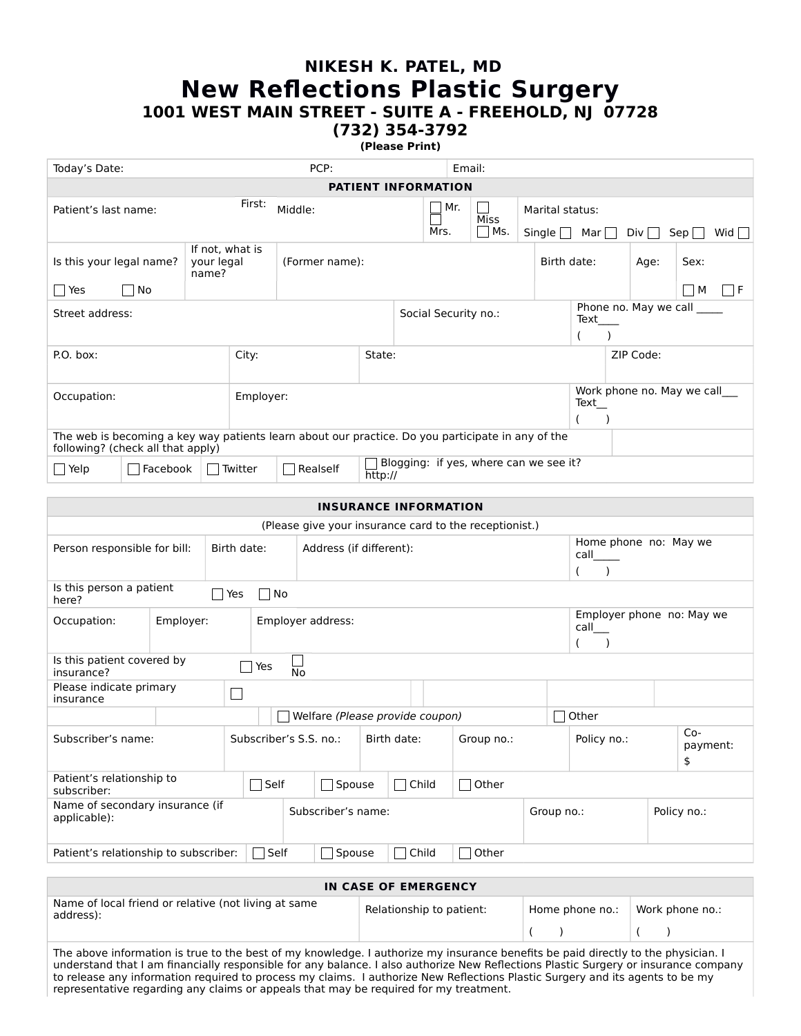# **NIKESH K. PATEL, MD New Reflections Plastic Surgery 1001 WEST MAIN STREET - SUITE A - FREEHOLD, NJ 07728**

## **(732) 354-3792**

**(Please Print)**

| Today's Date:                                                                                                                          |                                                                    |                   | PCP:           |           |        | Email:               |                    |                                                                 |  |           |                               |      |          |              |
|----------------------------------------------------------------------------------------------------------------------------------------|--------------------------------------------------------------------|-------------------|----------------|-----------|--------|----------------------|--------------------|-----------------------------------------------------------------|--|-----------|-------------------------------|------|----------|--------------|
| <b>PATIENT INFORMATION</b>                                                                                                             |                                                                    |                   |                |           |        |                      |                    |                                                                 |  |           |                               |      |          |              |
| Patient's last name:                                                                                                                   |                                                                    | First:<br>Middle: |                |           |        | Mr.<br>Mrs.          | <b>Miss</b><br>Ms. | Marital status:<br>$Single \mid \cdot$<br>Mar  <br>Div<br>Sep [ |  |           |                               |      | Wid      |              |
|                                                                                                                                        | If not, what is<br>Is this your legal name?<br>your legal<br>name? |                   | (Former name): |           |        | Birth date:          |                    |                                                                 |  |           | Age:                          | Sex: |          |              |
| $\Box$<br>Yes                                                                                                                          | No                                                                 |                   |                |           |        |                      |                    |                                                                 |  |           |                               |      | $\Box$ M | $\perp$<br>F |
| Street address:                                                                                                                        |                                                                    |                   |                |           |        | Social Security no.: |                    |                                                                 |  |           | Phone no. May we call<br>Text |      |          |              |
| P.O. box:                                                                                                                              |                                                                    |                   | City:          |           | State: |                      |                    |                                                                 |  | ZIP Code: |                               |      |          |              |
| Occupation:                                                                                                                            |                                                                    |                   |                | Employer: |        |                      |                    |                                                                 |  | Text      | Work phone no. May we call    |      |          |              |
| The web is becoming a key way patients learn about our practice. Do you participate in any of the<br>following? (check all that apply) |                                                                    |                   |                |           |        |                      |                    |                                                                 |  |           |                               |      |          |              |
| Blogging: if yes, where can we see it?<br>Facebook<br>Yelp<br>Twitter<br>Realself<br>$\vert \ \ \vert$<br>http://                      |                                                                    |                   |                |           |        |                      |                    |                                                                 |  |           |                               |      |          |              |

| <b>INSURANCE INFORMATION</b>                                                                                    |                    |                          |                                       |  |                                   |                                    |  |             |                               |  |                         |  |
|-----------------------------------------------------------------------------------------------------------------|--------------------|--------------------------|---------------------------------------|--|-----------------------------------|------------------------------------|--|-------------|-------------------------------|--|-------------------------|--|
| (Please give your insurance card to the receptionist.)                                                          |                    |                          |                                       |  |                                   |                                    |  |             |                               |  |                         |  |
| Person responsible for bill:<br>Birth date:                                                                     |                    |                          | Address (if different):               |  |                                   |                                    |  |             | Home phone no: May we<br>call |  |                         |  |
| Is this person a patient<br><b>No</b><br>Yes<br>here?                                                           |                    |                          |                                       |  |                                   |                                    |  |             |                               |  |                         |  |
| Occupation:<br>Employer:                                                                                        |                    |                          | Employer address:                     |  | Employer phone no: May we<br>call |                                    |  |             |                               |  |                         |  |
| Is this patient covered by<br>$\sqsupset$ Yes<br><b>No</b><br>insurance?                                        |                    |                          |                                       |  |                                   |                                    |  |             |                               |  |                         |  |
| Please indicate primary<br>insurance                                                                            |                    |                          |                                       |  |                                   |                                    |  |             |                               |  |                         |  |
| Welfare (Please provide coupon)<br>Other                                                                        |                    |                          |                                       |  |                                   |                                    |  |             |                               |  |                         |  |
| Subscriber's name:                                                                                              |                    |                          | Subscriber's S.S. no.:                |  |                                   | Birth date:<br>Group no.:          |  |             | Policy no.:                   |  | $Co-$<br>payment:<br>\$ |  |
| Patient's relationship to<br>subscriber:                                                                        |                    |                          | Self<br>П<br>Child<br>Other<br>Spouse |  |                                   |                                    |  |             |                               |  |                         |  |
| Name of secondary insurance (if<br>applicable):                                                                 | Subscriber's name: |                          |                                       |  |                                   | Group no.:                         |  | Policy no.: |                               |  |                         |  |
| Self<br>Patient's relationship to subscriber:<br>Child<br>Other<br>$\vert \ \ \vert$<br>Spouse<br>$\mathcal{L}$ |                    |                          |                                       |  |                                   |                                    |  |             |                               |  |                         |  |
| IN CASE OF EMERGENCY                                                                                            |                    |                          |                                       |  |                                   |                                    |  |             |                               |  |                         |  |
| Name of local friend or relative (not living at same<br>address):                                               |                    | Relationship to patient: |                                       |  |                                   | Home phone no.:<br>Work phone no.: |  |             |                               |  |                         |  |

The above information is true to the best of my knowledge. I authorize my insurance benefits be paid directly to the physician. I understand that I am financially responsible for any balance. I also authorize New Reflections Plastic Surgery or insurance company to release any information required to process my claims. I authorize New Reflections Plastic Surgery and its agents to be my representative regarding any claims or appeals that may be required for my treatment.

 $\vert \hspace{.06cm} ( \hspace{.1cm} ) \hspace{.1cm} \vert \hspace{.06cm} ( \hspace{.1cm} ) \hspace{.1cm}$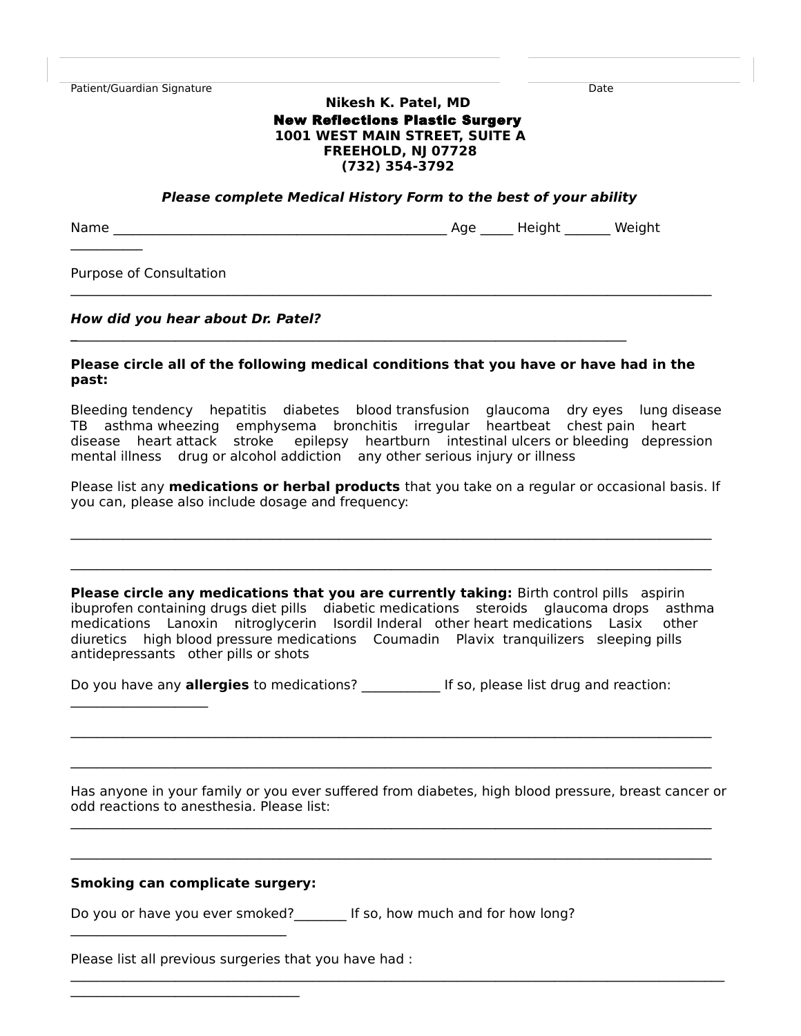Patient/Guardian Signature Date Date of Patient/Guardian Signature Date

#### **Nikesh K. Patel, MD**  New Reflections Plastic Surgery **1001 WEST MAIN STREET, SUITE A FREEHOLD, NJ 07728 (732) 354-3792**

**Please complete Medical History Form to the best of your ability**

Name \_\_\_\_\_\_\_\_\_\_\_\_\_\_\_\_\_\_\_\_\_\_\_\_\_\_\_\_\_\_\_\_\_\_\_\_\_\_\_\_\_\_\_\_\_\_\_\_\_\_\_ Age \_\_\_\_\_ Height \_\_\_\_\_\_\_ Weight

**\_**\_\_\_\_\_\_\_\_\_\_\_\_\_\_\_\_\_\_\_\_\_\_\_\_\_\_\_\_\_\_\_\_\_\_\_\_\_\_\_\_\_\_\_\_\_\_\_\_\_\_\_\_\_\_\_\_\_\_\_\_\_\_\_\_\_\_\_\_\_\_\_\_\_\_\_\_\_\_\_\_\_\_\_\_

Purpose of Consultation

 $\mathcal{L}_\text{max}$ 

#### **How did you hear about Dr. Patel?**

**Please circle all of the following medical conditions that you have or have had in the past:** 

Bleeding tendency hepatitis diabetes blood transfusion glaucoma dry eyes lung disease TB asthma wheezing emphysema bronchitis irregular heartbeat chest pain heart disease heart attack stroke epilepsy heartburn intestinal ulcers or bleeding depression mental illness drug or alcohol addiction any other serious injury or illness

Please list any **medications or herbal products** that you take on a regular or occasional basis. If you can, please also include dosage and frequency:

 $\mathcal{L}_\mathcal{L} = \mathcal{L}_\mathcal{L} = \mathcal{L}_\mathcal{L} = \mathcal{L}_\mathcal{L} = \mathcal{L}_\mathcal{L} = \mathcal{L}_\mathcal{L} = \mathcal{L}_\mathcal{L} = \mathcal{L}_\mathcal{L} = \mathcal{L}_\mathcal{L} = \mathcal{L}_\mathcal{L} = \mathcal{L}_\mathcal{L} = \mathcal{L}_\mathcal{L} = \mathcal{L}_\mathcal{L} = \mathcal{L}_\mathcal{L} = \mathcal{L}_\mathcal{L} = \mathcal{L}_\mathcal{L} = \mathcal{L}_\mathcal{L}$ 

\_\_\_\_\_\_\_\_\_\_\_\_\_\_\_\_\_\_\_\_\_\_\_\_\_\_\_\_\_\_\_\_\_\_\_\_\_\_\_\_\_\_\_\_\_\_\_\_\_\_\_\_\_\_\_\_\_\_\_\_\_\_\_\_\_\_\_\_\_\_\_\_\_\_\_\_\_\_\_\_\_\_\_\_\_\_\_\_\_\_\_\_\_\_\_\_\_\_

**Please circle any medications that you are currently taking:** Birth control pills aspirin ibuprofen containing drugs diet pills diabetic medications steroids glaucoma drops asthma medications Lanoxin nitroglycerin Isordil Inderal other heart medications Lasix other diuretics high blood pressure medications Coumadin Plavix tranquilizers sleeping pills antidepressants other pills or shots

| Do you have any <b>allergies</b> to medications? | If so, please list drug and reaction: |
|--------------------------------------------------|---------------------------------------|
|--------------------------------------------------|---------------------------------------|

Has anyone in your family or you ever suffered from diabetes, high blood pressure, breast cancer or odd reactions to anesthesia. Please list:

 $\mathcal{L}_\mathcal{L} = \mathcal{L}_\mathcal{L} = \mathcal{L}_\mathcal{L} = \mathcal{L}_\mathcal{L} = \mathcal{L}_\mathcal{L} = \mathcal{L}_\mathcal{L} = \mathcal{L}_\mathcal{L} = \mathcal{L}_\mathcal{L} = \mathcal{L}_\mathcal{L} = \mathcal{L}_\mathcal{L} = \mathcal{L}_\mathcal{L} = \mathcal{L}_\mathcal{L} = \mathcal{L}_\mathcal{L} = \mathcal{L}_\mathcal{L} = \mathcal{L}_\mathcal{L} = \mathcal{L}_\mathcal{L} = \mathcal{L}_\mathcal{L}$ 

\_\_\_\_\_\_\_\_\_\_\_\_\_\_\_\_\_\_\_\_\_\_\_\_\_\_\_\_\_\_\_\_\_\_\_\_\_\_\_\_\_\_\_\_\_\_\_\_\_\_\_\_\_\_\_\_\_\_\_\_\_\_\_\_\_\_\_\_\_\_\_\_\_\_\_\_\_\_\_\_\_\_\_\_\_\_\_\_\_\_\_\_\_\_\_\_\_\_

\_\_\_\_\_\_\_\_\_\_\_\_\_\_\_\_\_\_\_\_\_\_\_\_\_\_\_\_\_\_\_\_\_\_\_\_\_\_\_\_\_\_\_\_\_\_\_\_\_\_\_\_\_\_\_\_\_\_\_\_\_\_\_\_\_\_\_\_\_\_\_\_\_\_\_\_\_\_\_\_\_\_\_\_\_\_\_\_\_\_\_\_\_\_\_\_\_\_

#### **Smoking can complicate surgery:**

 $\mathcal{L}=\mathcal{L}^{\mathcal{L}}$  , where  $\mathcal{L}^{\mathcal{L}}$  , where  $\mathcal{L}^{\mathcal{L}}$ 

 $\mathcal{L}_\text{max}$  , where  $\mathcal{L}_\text{max}$  and  $\mathcal{L}_\text{max}$ 

 $\mathcal{L}_\text{max}$ 

Do you or have you ever smoked? If so, how much and for how long?

Please list all previous surgeries that you have had :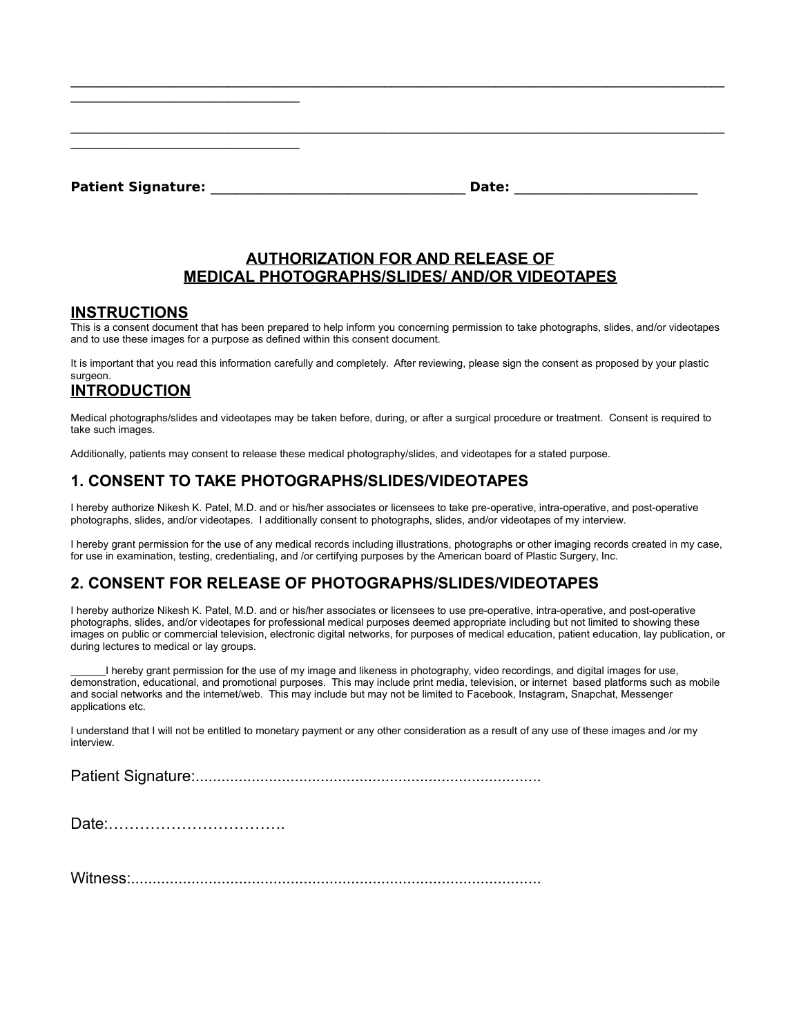Patient Signature: **We are also assigned to the set of the Signature:**  $\blacksquare$ 

 $\mathcal{L}_\text{max}$  , where  $\mathcal{L}_\text{max}$  and  $\mathcal{L}_\text{max}$ 

#### **AUTHORIZATION FOR AND RELEASE OF MEDICAL PHOTOGRAPHS/SLIDES/ AND/OR VIDEOTAPES**

 $\mathcal{L}_\mathcal{L} = \mathcal{L}_\mathcal{L} = \mathcal{L}_\mathcal{L} = \mathcal{L}_\mathcal{L} = \mathcal{L}_\mathcal{L} = \mathcal{L}_\mathcal{L} = \mathcal{L}_\mathcal{L} = \mathcal{L}_\mathcal{L} = \mathcal{L}_\mathcal{L} = \mathcal{L}_\mathcal{L} = \mathcal{L}_\mathcal{L} = \mathcal{L}_\mathcal{L} = \mathcal{L}_\mathcal{L} = \mathcal{L}_\mathcal{L} = \mathcal{L}_\mathcal{L} = \mathcal{L}_\mathcal{L} = \mathcal{L}_\mathcal{L}$ 

#### **INSTRUCTIONS**

This is a consent document that has been prepared to help inform you concerning permission to take photographs, slides, and/or videotapes and to use these images for a purpose as defined within this consent document.

It is important that you read this information carefully and completely. After reviewing, please sign the consent as proposed by your plastic surgeon.

## **INTRODUCTION**

Medical photographs/slides and videotapes may be taken before, during, or after a surgical procedure or treatment. Consent is required to take such images.

Additionally, patients may consent to release these medical photography/slides, and videotapes for a stated purpose.

## **1. CONSENT TO TAKE PHOTOGRAPHS/SLIDES/VIDEOTAPES**

I hereby authorize Nikesh K. Patel, M.D. and or his/her associates or licensees to take pre-operative, intra-operative, and post-operative photographs, slides, and/or videotapes. I additionally consent to photographs, slides, and/or videotapes of my interview.

I hereby grant permission for the use of any medical records including illustrations, photographs or other imaging records created in my case, for use in examination, testing, credentialing, and /or certifying purposes by the American board of Plastic Surgery, Inc.

### **2. CONSENT FOR RELEASE OF PHOTOGRAPHS/SLIDES/VIDEOTAPES**

I hereby authorize Nikesh K. Patel, M.D. and or his/her associates or licensees to use pre-operative, intra-operative, and post-operative photographs, slides, and/or videotapes for professional medical purposes deemed appropriate including but not limited to showing these images on public or commercial television, electronic digital networks, for purposes of medical education, patient education, lay publication, or during lectures to medical or lay groups.

I hereby grant permission for the use of my image and likeness in photography, video recordings, and digital images for use, demonstration, educational, and promotional purposes. This may include print media, television, or internet based platforms such as mobile and social networks and the internet/web. This may include but may not be limited to Facebook, Instagram, Snapchat, Messenger applications etc.

I understand that I will not be entitled to monetary payment or any other consideration as a result of any use of these images and /or my interview.

Patient Signature:................................................................................

Date:…………………………….

Witness:...............................................................................................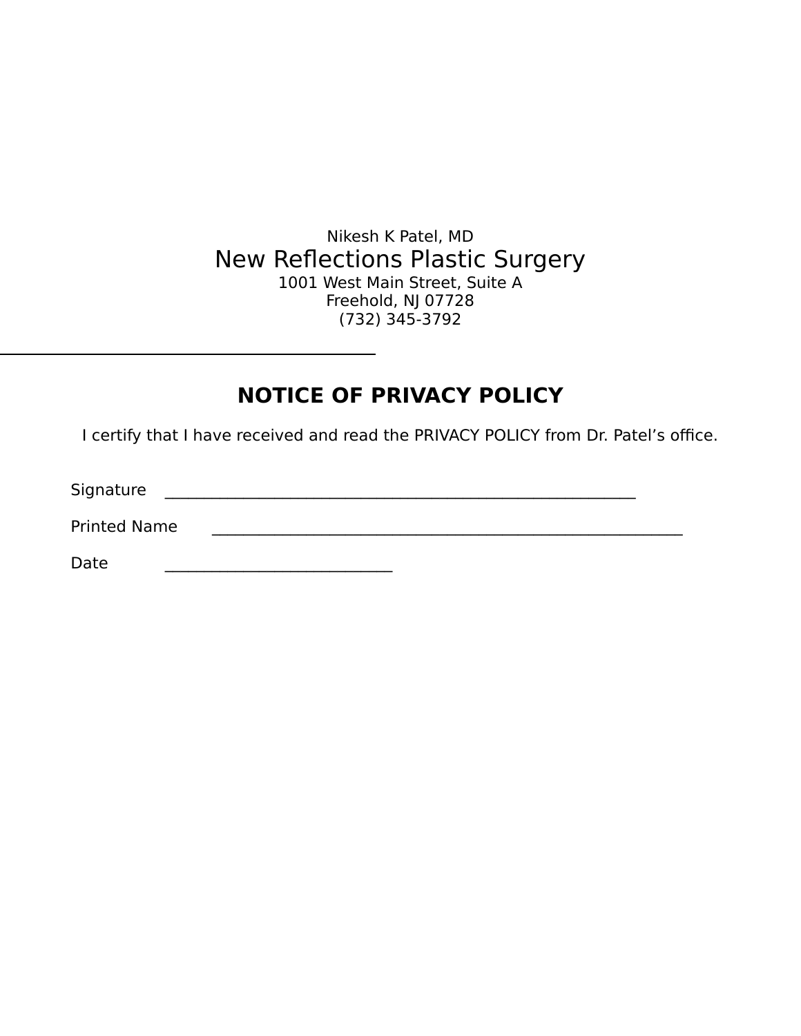Nikesh K Patel, MD New Reflections Plastic Surgery 1001 West Main Street, Suite A Freehold, NJ 07728 (732) 345-3792

# **NOTICE OF PRIVACY POLICY**

I certify that I have received and read the PRIVACY POLICY from Dr. Patel's office.

Signature **Example 2018** 

Printed Name

 $Date$   $\Box$